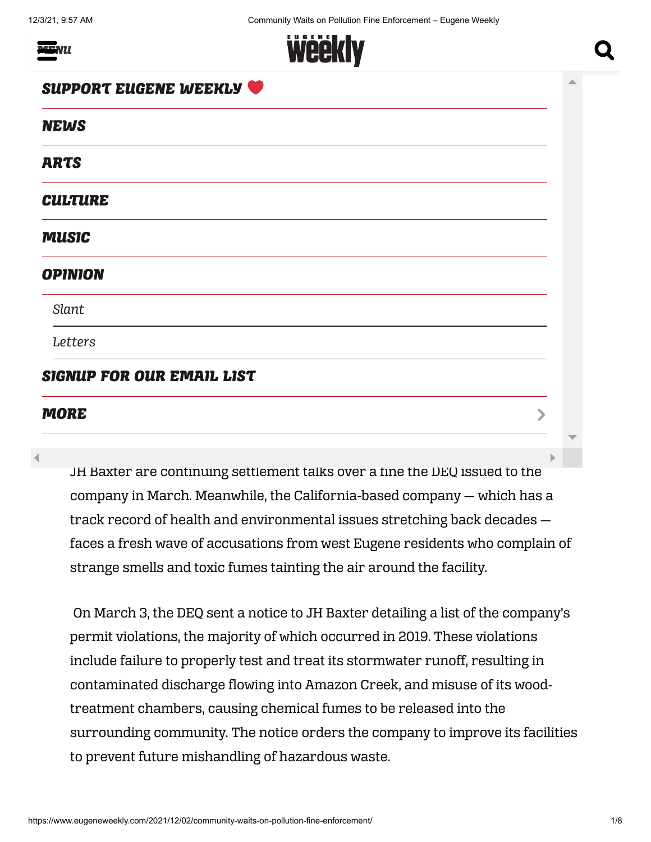*MENU*



# VS<br>Waits was a community with the community was a contract of the community of the community of the community of the community of the community of the community of the community of the community of the community of the com *SUPPORT EUGENE WEEKLY*

#### *NEWS*

on Politica Politica Politica Politica Politica Politica Politica Politica Politica Politica Politica Politica<br>Politica Politica Politica Politica Politica Politica Politica Politica Politica Politica Politica Politica Po<br> *ARTS*

## TURE<br>and the contract of the contract of the contract of the contract of the contract of the contract of the contract of the contract of the contract of the contract of the contract of the contract of the contract of the c *CULTURE*

*[West Eugene residents report uptick in odors a](https://www.eugeneweekly.com/category/arts/music/)s MUSIC*

#### *[DEQ talks settlement with JH Baxter](https://www.eugeneweekly.com/category/news/opinion/) OPINION*

*[N](https://www.eugeneweekly.com/category/news/opinion/slant/)[EWS /](https://www.eugeneweekly.com/category/news/) [BY](https://www.eugeneweekly.com/category/news/opinion/slant/) [EW STAF](https://www.eugeneweekly.com/author/ew-staff/)[F / POSTED ON](https://www.eugeneweekly.com/category/news/opinion/slant/) [12/02/202](https://www.eugeneweekly.com/2021/12/02/community-waits-on-pollution-fine-enforcement/)[1](https://www.eugeneweekly.com/category/news/opinion/slant/) Slant*

*[Let](https://www.eugeneweekly.com/category/letters/)[ter](https://www.eugeneweekly.com/2021/12/02/community-waits-on-pollution-fine-enforcement/?share=facebook&nb=1)[s](https://www.eugeneweekly.com/category/letters/)*

### *[SIGNUP FOR OUR EMAIL LIST](https://www.eugeneweekly.com/newsletter/)*

#### *By Cole Sinanian and Clayton Franke MORE*

JH Baxter are continuing settlement talks over a fine the DEQ issued to the company in March. Meanwhile, the California-based company — which has a track record of health and environmental issues stretching back decades faces a fresh wave of accusations from west Eugene residents who complain of strange smells and toxic fumes tainting the air around the facility.

The Oregon Department of  $\mathbb{R}^n$  and wood-treatmental  $\mathbb{R}^n$  and wood-treatment facility and wood-treatment facility and wood-treatment facility and wood-treatment facility and wood-treatment facility and works are

On March 3, the DEQ sent a notice to JH Baxter detailing a list of the company's permit violations, the majority of which occurred in 2019. These violations include failure to properly test and treat its stormwater runoff, resulting in contaminated discharge flowing into Amazon Creek, and misuse of its woodtreatment chambers, causing chemical fumes to be released into the surrounding community. The notice orders the company to improve its facilities to prevent future mishandling of hazardous waste.

 $\blacktriangleright$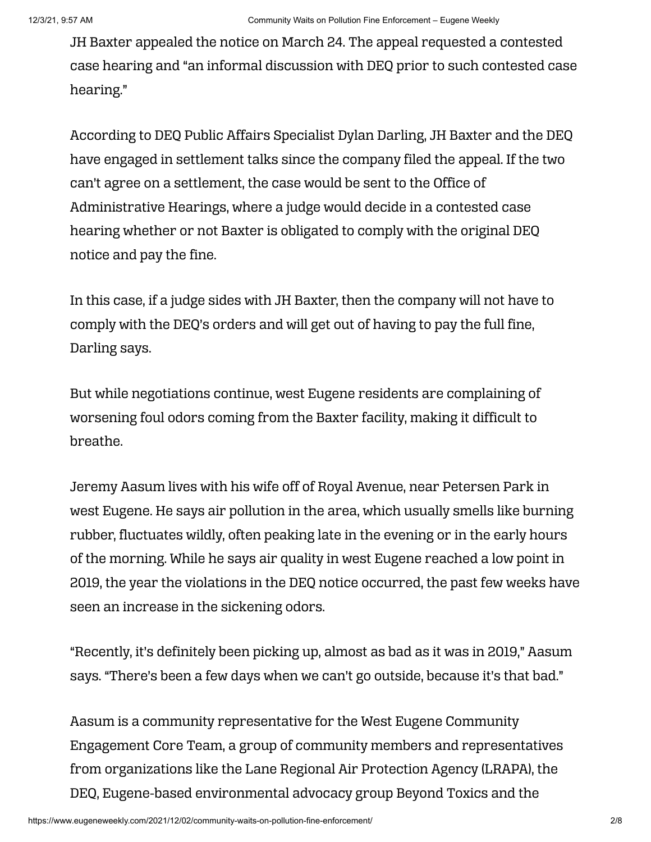JH Baxter appealed the notice on March 24. The appeal requested a contested case hearing and "an informal discussion with DEQ prior to such contested case hearing."

According to DEQ Public Affairs Specialist Dylan Darling, JH Baxter and the DEQ have engaged in settlement talks since the company filed the appeal. If the two can't agree on a settlement, the case would be sent to the Office of Administrative Hearings, where a judge would decide in a contested case hearing whether or not Baxter is obligated to comply with the original DEQ notice and pay the fine.

In this case, if a judge sides with JH Baxter, then the company will not have to comply with the DEQ's orders and will get out of having to pay the full fine, Darling says.

But while negotiations continue, west Eugene residents are complaining of worsening foul odors coming from the Baxter facility, making it difficult to breathe.

Jeremy Aasum lives with his wife off of Royal Avenue, near Petersen Park in west Eugene. He says air pollution in the area, which usually smells like burning rubber, fluctuates wildly, often peaking late in the evening or in the early hours of the morning. While he says air quality in west Eugene reached a low point in 2019, the year the violations in the DEQ notice occurred, the past few weeks have seen an increase in the sickening odors.

"Recently, it's definitely been picking up, almost as bad as it was in 2019," Aasum says. "There's been a few days when we can't go outside, because it's that bad."

Aasum is a community representative for the West Eugene Community Engagement Core Team, a group of community members and representatives from organizations like the Lane Regional Air Protection Agency (LRAPA), the DEQ, Eugene-based environmental advocacy group Beyond Toxics and the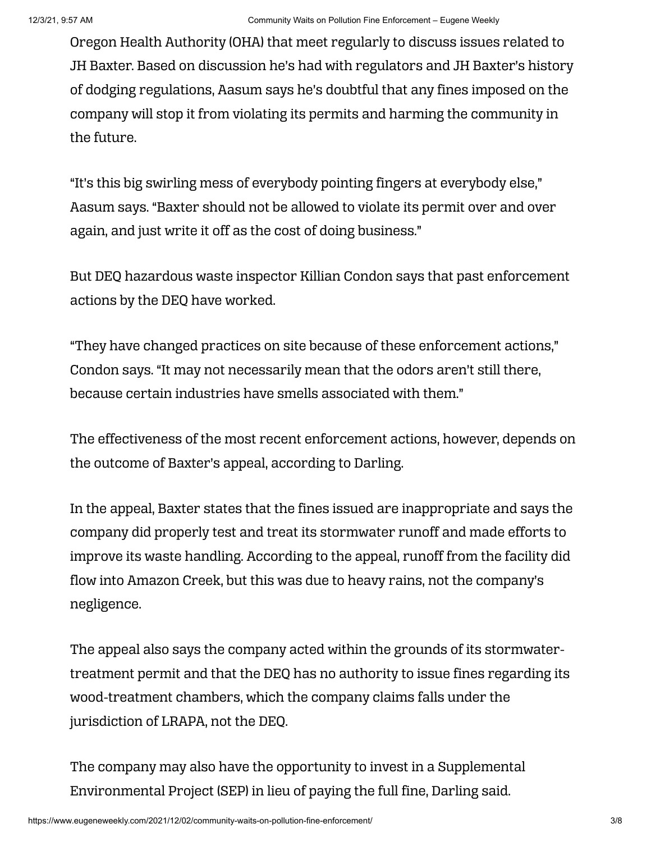Oregon Health Authority (OHA) that meet regularly to discuss issues related to JH Baxter. Based on discussion he's had with regulators and JH Baxter's history of dodging regulations, Aasum says he's doubtful that any fines imposed on the company will stop it from violating its permits and harming the community in the future.

"It's this big swirling mess of everybody pointing fingers at everybody else," Aasum says. "Baxter should not be allowed to violate its permit over and over again, and just write it off as the cost of doing business."

But DEQ hazardous waste inspector Killian Condon says that past enforcement actions by the DEQ have worked.

"They have changed practices on site because of these enforcement actions," Condon says. "It may not necessarily mean that the odors aren't still there, because certain industries have smells associated with them."

The effectiveness of the most recent enforcement actions, however, depends on the outcome of Baxter's appeal, according to Darling.

In the appeal, Baxter states that the fines issued are inappropriate and says the company did properly test and treat its stormwater runoff and made efforts to improve its waste handling. According to the appeal, runoff from the facility did flow into Amazon Creek, but this was due to heavy rains, not the company's negligence.

The appeal also says the company acted within the grounds of its stormwatertreatment permit and that the DEQ has no authority to issue fines regarding its wood-treatment chambers, which the company claims falls under the jurisdiction of LRAPA, not the DEQ.

The company may also have the opportunity to invest in a Supplemental Environmental Project (SEP) in lieu of paying the full fine, Darling said.